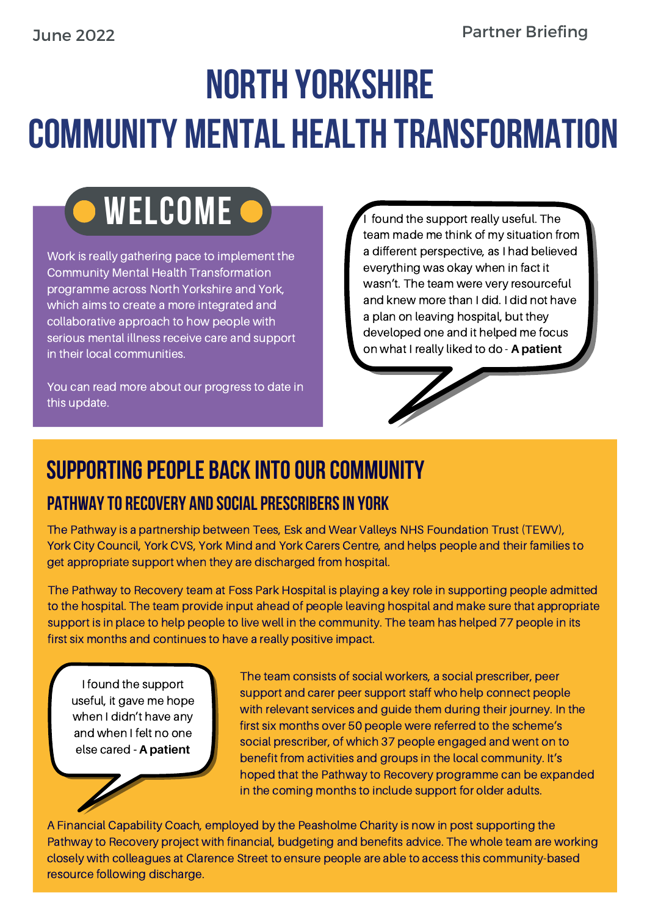# NORTH YORKSHIRE COMMUNITY MENTAL HEALTH TRANSFORMATION

## WELCOME <sup>O</sup>

Work is really gathering pace to implement the Community Mental Health Transformation programme across North Yorkshire and York, which aims to create a more integrated and collaborative approach to how people with serious mental illness receive care and support in their local communities.

You can read more about our progress to date in this update.

team made me think of my situation from a different perspective, as I had believed everything was okay when in fact it wasn't. The team were very resourceful and knew more than I did. I did not have a plan on leaving hospital, but they developed one and it helped me focus on what I really liked to do - **A patient**

## SUPPORTING PEOPLE BACK INTO OUR COMMUNITY PATHWAY TO RECOVERY AND SOCIAL PRESCRIBERS IN YORK

The Pathway is a partnership between Tees, Esk and Wear Valleys NHS Foundation Trust (TEWV), York City Council, York CVS, York Mind and York Carers Centre, and helps people and their families to get appropriate support when they are discharged from hospital.

The Pathway to Recovery team at Foss Park Hospital is playing a key role in supporting people admitted to the hospital. The team provide input ahead of people leaving hospital and make sure that appropriate support is in place to help people to live well in the community. The team has helped 77 people in its first six months and continues to have a really positive impact.

I found the support useful, it gave me hope when I didn't have any and when I felt no one else cared **- A patient**

The team consists of social workers, a social prescriber, peer support and carer peer support staff who help connect people with relevant services and guide them during their journey. In the first six months over 50 people were referred to the scheme's social prescriber, of which 37 people engaged and went on to benefit from activities and groups in the local community. It's hoped that the Pathway to Recovery programme can be expanded in the coming months to include support for older adults.

A Financial Capability Coach, employed by the Peasholme Charity is now in post supporting the Pathway to Recovery project with financial, budgeting and benefits advice. The whole team are working closely with colleagues at Clarence Street to ensure people are able to access this community-based resource following discharge.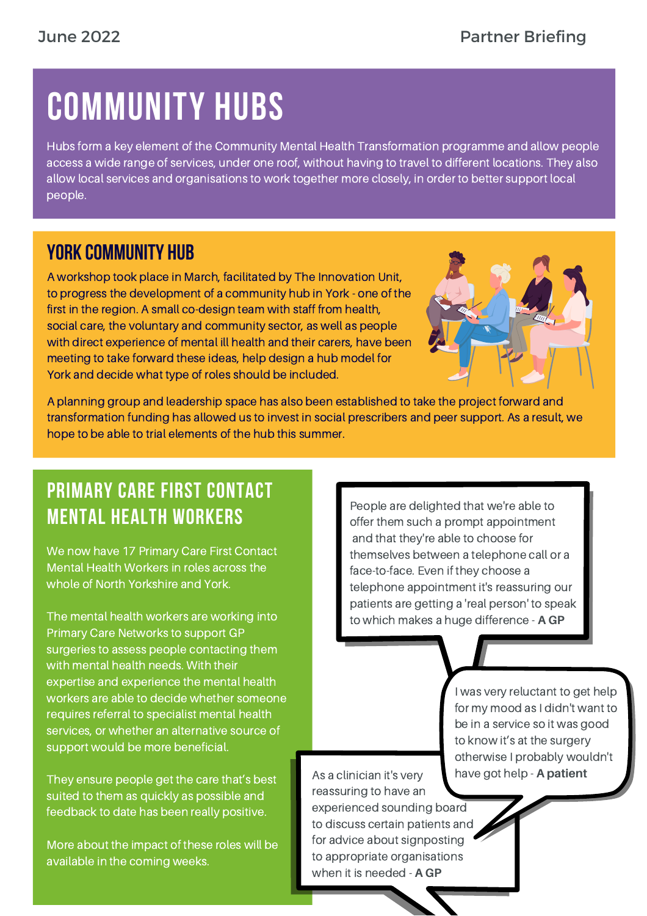# COMMUNITY HUBS

Hubs form a key element of the Community Mental Health Transformation programme and allow people access a wide range of services, under one roof, without having to travel to different locations. They also allow local services and organisations to work together more closely, in order to better support local people.

#### YORK COMMUNITY HUB

A workshop took place in March, facilitated by The Innovation Unit, to progress the development of a community hub in York - one of the first in the region. A small co-design team with staff from health, social care, the voluntary and community sector, as well as people with direct experience of mental ill health and their carers, have been meeting to take forward these ideas, help design a hub model for York and decide what type of roles should be included.



A planning group and leadership space has also been established to take the project forward and transformation funding has allowed us to invest in social prescribers and peer support. As a result, we hope to be able to trial elements of the hub this summer.

### PRIMARY CARE FIRST CONTACT MENTAL HEALTH WORKERS

We now have 17 Primary Care First Contact Mental Health Workers in roles across the whole of North Yorkshire and York.

The mental health workers are working into Primary Care Networks to support GP surgeries to assess people contacting them with mental health needs. With their expertise and experience the mental health workers are able to decide whether someone requires referral to specialist mental health services, or whether an alternative source of support would be more beneficial.

They ensure people get the care that's best suited to them as quickly as possible and feedback to date has been really positive.

More about the impact of these roles will be available in the coming weeks.

People are delighted that we're able to offer them such a prompt appointment and that they're able to choose for themselves between a telephone call or a face-to-face. Even if they choose a telephone appointment it's reassuring our patients are getting a 'real person' to speak to which makes a huge difference - **A GP**

> I was very reluctant to get help for my mood as I didn't want to be in a service so it was good to know it's at the surgery otherwise I probably wouldn't have got help - **A patient**

As a clinician it's very reassuring to have an experienced sounding board to discuss certain patients and for advice about signposting to appropriate organisations when it is needed - **A GP**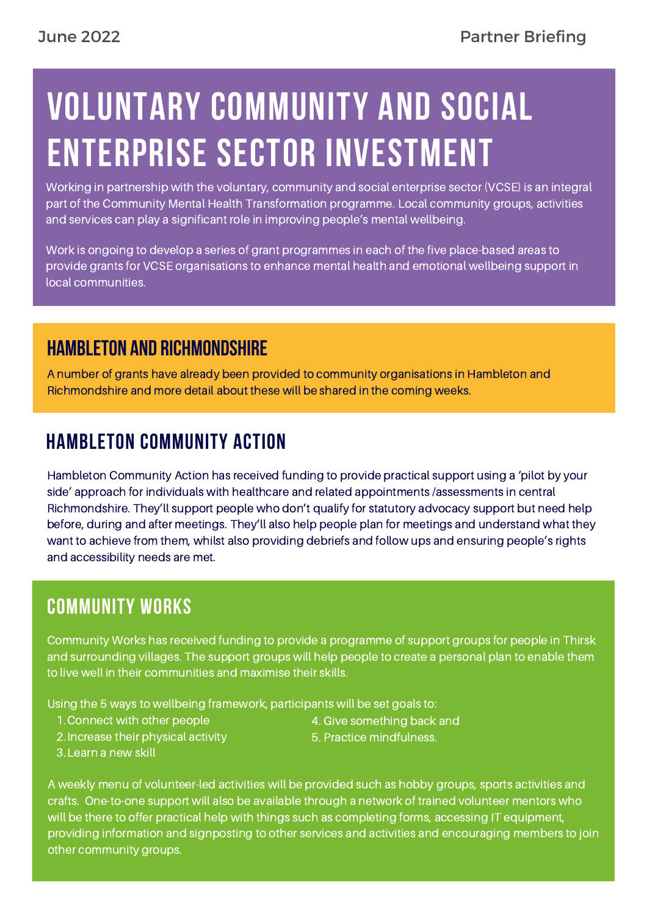# VOLUNTARY COMMUNITY AND SOCIAL ENTERPRISE SECTOR INVESTMENT

Working in partnership with the voluntary, community and social enterprise sector (VCSE) is an integral part of the Community Mental Health Transformation programme. Local community groups, activities and services can play a significant role in improving people's mental wellbeing.

Work is ongoing to develop a series of grant programmes in each of the five place-based areas to provide grants for VCSE organisations to enhance mental health and emotional wellbeing support in local communities.

#### Hambleton and Richmondshire

A number of grants have already been provided to community organisations in Hambleton and Richmondshire and more detail about these will be shared in the coming weeks.

### HAMBLETON COMMUNITY ACTION

Hambleton Community Action has received funding to provide practical support using a 'pilot by your side' approach for individuals with healthcare and related appointments /assessments in central Richmondshire. They'll support people who don't qualify for statutory advocacy support but need help before, during and after meetings. They'll also help people plan for meetings and understand what they want to achieve from them, whilst also providing debriefs and follow ups and ensuring people's rights and accessibility needs are met.

### COMMUNITY WORKS

Community Works has received funding to provide a programme of support groups for people in Thirsk and surrounding villages. The support groups will help people to create a personal plan to enable them to live well in their communities and maximise their skills.

Using the 5 ways to wellbeing framework, participants will be set goals to:

1. Connect with other people

- 4. Give something back and
- 2. Increase their physical activity
- 5. Practice mindfulness.

3. Learn a new skill

A weekly menu of volunteer-led activities will be provided such as hobby groups, sports activities and crafts. One-to-one support will also be available through a network of trained volunteer mentors who will be there to offer practical help with things such as completing forms, accessing IT equipment, providing information and signposting to other services and activities and encouraging members to join other community groups.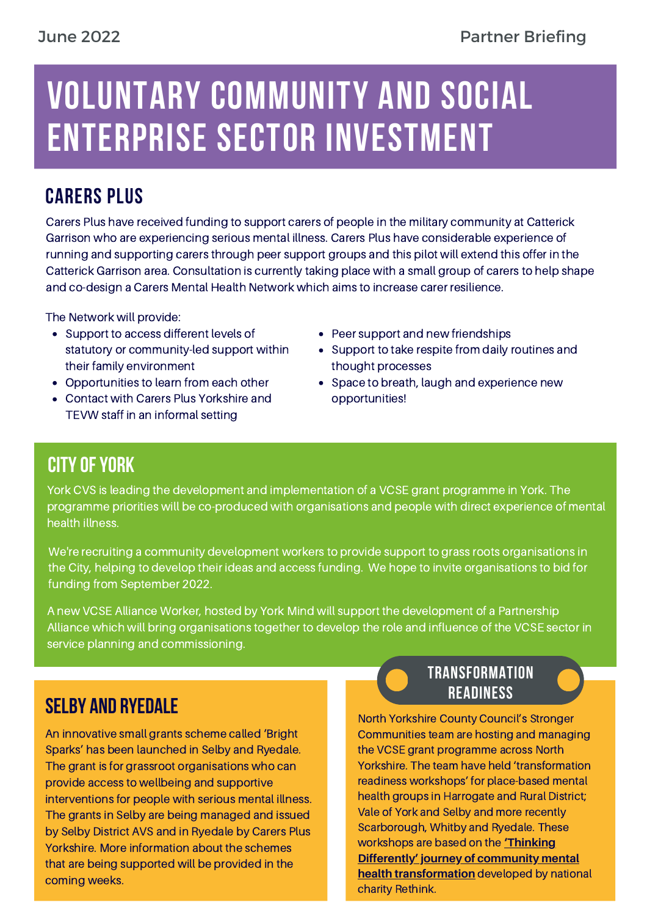## VOLUNTARY COMMUNITY AND SOCIAL ENTERPRISE SECTOR INVESTMENT

### CARERS PLUS

Carers Plus have received funding to support carers of people in the military community at Catterick Garrison who are experiencing serious mental illness. Carers Plus have considerable experience of running and supporting carers through peer support groups and this pilot will extend this offer in the Catterick Garrison area. Consultation is currently taking place with a small group of carers to help shape and co-design a Carers Mental Health Network which aims to increase carer resilience.

The Network will provide:

- Support to access different levels of statutory or community-led support within their family environment
- Opportunities to learn from each other
- Contact with Carers Plus Yorkshire and TEVW staff in an informal setting
- Peer support and new friendships
- Support to take respite from daily routines and thought processes
- Space to breath, laugh and experience new opportunities!

#### **CITY OF YORK**

York CVS is leading the development and implementation of a VCSE grant programme in York. The programme priorities will be co-produced with organisations and people with direct experience of mental health illness.

We're recruiting a community development workers to provide support to grass roots organisations in the City, helping to develop their ideas and access funding. We hope to invite organisations to bid for funding from September 2022.

A new VCSE Alliance Worker, hosted by York Mind will support the development of a Partnership Alliance which will bring organisations together to develop the role and influence of the VCSE sector in service planning and commissioning.

#### Selby and Ryedale

An innovative small grants scheme called 'Bright Sparks' has been launched in Selby and Ryedale. The grant is for grassroot organisations who can provide access to wellbeing and supportive interventions for people with serious mental illness. The grants in Selby are being managed and issued by Selby District AVS and in Ryedale by Carers Plus Yorkshire. More information about the schemes that are being supported will be provided in the coming weeks.

#### TRANSFORMATION **READINESS**

North Yorkshire County Council's Stronger Communities team are hosting and managing the VCSE grant programme across North Yorkshire. The team have held 'transformation readiness workshops' for place-based mental health groups in Harrogate and Rural District; Vale of York and Selby and more recently Scarborough, Whitby and Ryedale. These workshops are based on the **'Thinking Differently' journey of community mental health [transformation](https://www.rethink.org/media/4065/p986-rmi-stp-guide-report_final.pdf)** developed by national charity Rethink.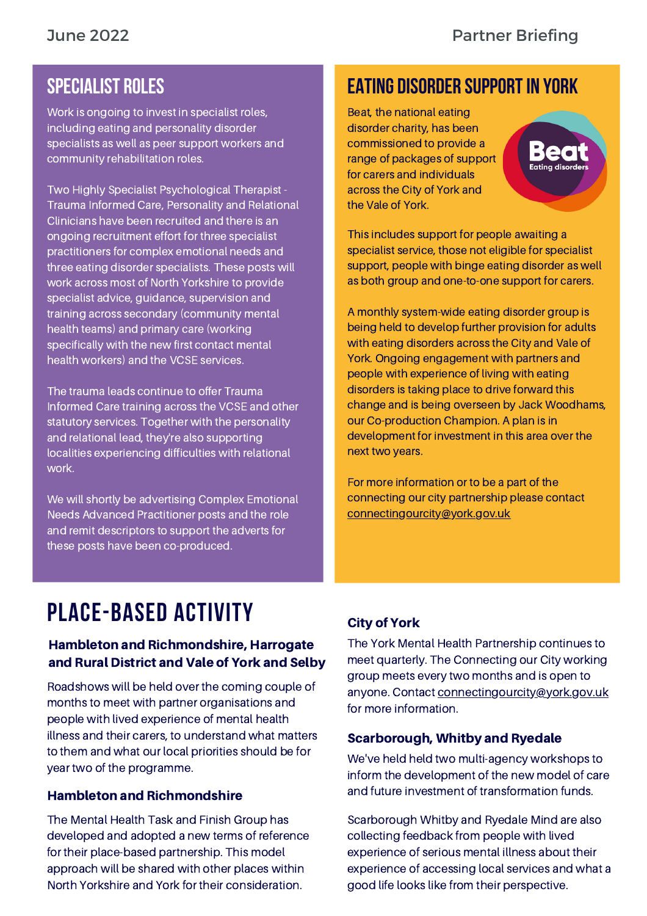#### SPECIALIST ROLES

Work is ongoing to invest in specialist roles, including eating and personality disorder specialists as well as peer support workers and community rehabilitation roles.

Two Highly Specialist Psychological Therapist - Trauma Informed Care, Personality and Relational Clinicians have been recruited and there is an ongoing recruitment effort for three specialist practitioners for complex emotional needs and three eating disorder specialists. These posts will work across most of North Yorkshire to provide specialist advice, guidance, supervision and training across secondary (community mental health teams) and primary care (working specifically with the new first contact mental health workers) and the VCSE services.

The trauma leads continue to offer Trauma Informed Care training across the VCSE and other statutory services. Together with the personality and relational lead, they're also supporting localities experiencing difficulties with relational work.

We will shortly be advertising Complex Emotional Needs Advanced Practitioner posts and the role and remit descriptors to support the adverts for these posts have been co-produced.

#### EATING DISORDER SUPPORTIN YORK

Beat, the national eating disorder charity, has been commissioned to provide a range of packages of support for carers and individuals across the City of York and the Vale of York.



This includes support for people awaiting a specialist service, those not eligible for specialist support, people with binge eating disorder as well as both group and one-to-one support for carers.

A monthly system-wide eating disorder group is being held to develop further provision for adults with eating disorders across the City and Vale of York. Ongoing engagement with partners and people with experience of living with eating disorders is taking place to drive forward this change and is being overseen by Jack Woodhams, our Co-production Champion. A plan is in development for investment in this area over the next two years.

For more information or to be a part of the connecting our city partnership please contact [connectingourcity@york.gov.uk](mailto:connectingourcity@york.gov.uk)

## PLACE-BASED ACTIVITY

#### Hambleton and Richmondshire, Harrogate and Rural District and Vale of York and Selby

Roadshows will be held over the coming couple of months to meet with partner organisations and people with lived experience of mental health illness and their carers, to understand what matters to them and what our local priorities should be for year two of the programme.

#### Hambleton and Richmondshire

The Mental Health Task and Finish Group has developed and adopted a new terms of reference for their place-based partnership. This model approach will be shared with other places within North Yorkshire and York for their consideration.

#### City of York

The York Mental Health Partnership continues to meet quarterly. The Connecting our City working group meets every two months and is open to anyone. Contact [connectingourcity@york.gov.uk](mailto:connectingourcity@york.gov.uk) for more information.

#### Scarborough, Whitby and Ryedale

We've held held two multi-agency workshops to inform the development of the new model of care and future investment of transformation funds.

Scarborough Whitby and Ryedale Mind are also collecting feedback from people with lived experience of serious mental illness about their experience of accessing local services and what a good life looks like from their perspective.